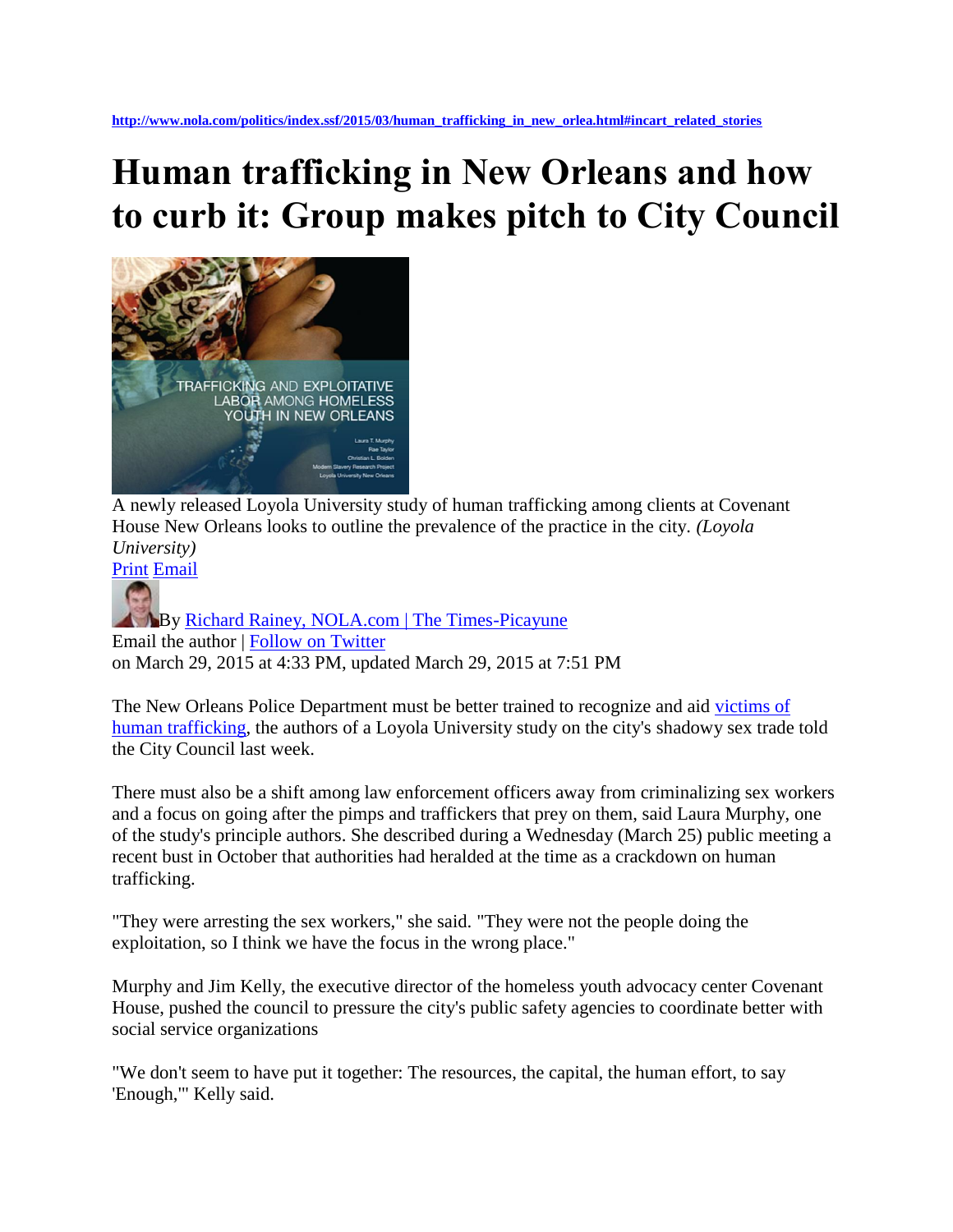## **Human trafficking in New Orleans and how to curb it: Group makes pitch to City Council**



A newly released Loyola University study of human trafficking among clients at Covenant House New Orleans looks to outline the prevalence of the practice in the city. *(Loyola University)*

[Print](http://blog.nola.com/politics/print.html?entry=/2015/03/human_trafficking_in_new_orlea.html) [Email](mailto:?subject=Human%20trafficking%20in%20New%20Orleans%20and%20how%20to%20curb%20it%3A%20Group%20makes%20pitch%20to%20City%20Council&body=http%3A%2F%2Fwww.nola.com%2Fpolitics%2Findex.ssf%2F2015%2F03%2Fhuman_trafficking_in_new_orlea.html#incart_email)

**By Richard Rainey, NOLA.com | The Times-Picayune** Email the author | [Follow on Twitter](http://www.twitter.com/rrainey504) on March 29, 2015 at 4:33 PM, updated March 29, 2015 at 7:51 PM

The New Orleans Police Department must be better trained to recognize and aid [victims of](http://www.nola.com/health/index.ssf/2015/03/loyola_human_trafficking_homel.html)  [human trafficking,](http://www.nola.com/health/index.ssf/2015/03/loyola_human_trafficking_homel.html) the authors of a Loyola University study on the city's shadowy sex trade told the City Council last week.

There must also be a shift among law enforcement officers away from criminalizing sex workers and a focus on going after the pimps and traffickers that prey on them, said Laura Murphy, one of the study's principle authors. She described during a Wednesday (March 25) public meeting a recent bust in October that authorities had heralded at the time as a crackdown on human trafficking.

"They were arresting the sex workers," she said. "They were not the people doing the exploitation, so I think we have the focus in the wrong place."

Murphy and Jim Kelly, the executive director of the homeless youth advocacy center Covenant House, pushed the council to pressure the city's public safety agencies to coordinate better with social service organizations

"We don't seem to have put it together: The resources, the capital, the human effort, to say 'Enough,'" Kelly said.